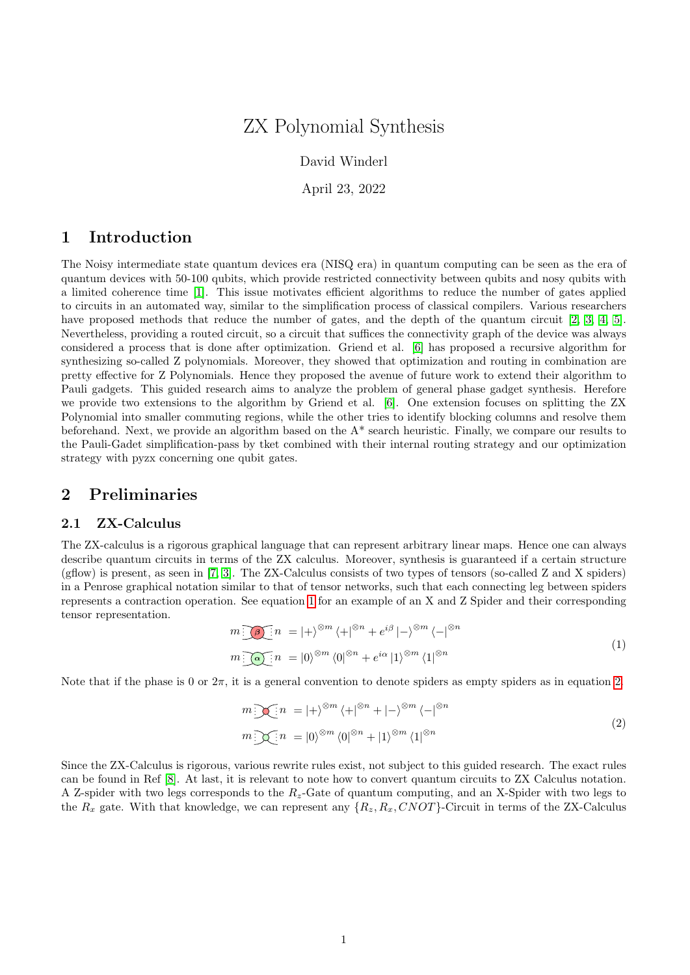# ZX Polynomial Synthesis

David Winderl

April 23, 2022

# 1 Introduction

The Noisy intermediate state quantum devices era (NISQ era) in quantum computing can be seen as the era of quantum devices with 50-100 qubits, which provide restricted connectivity between qubits and nosy qubits with a limited coherence time [\[1\]](#page-11-0). This issue motivates efficient algorithms to reduce the number of gates applied to circuits in an automated way, similar to the simplification process of classical compilers. Various researchers have proposed methods that reduce the number of gates, and the depth of the quantum circuit [\[2,](#page-11-1) [3,](#page-11-2) [4,](#page-11-3) [5\]](#page-11-4). Nevertheless, providing a routed circuit, so a circuit that suffices the connectivity graph of the device was always considered a process that is done after optimization. Griend et al. [\[6\]](#page-11-5) has proposed a recursive algorithm for synthesizing so-called Z polynomials. Moreover, they showed that optimization and routing in combination are pretty effective for Z Polynomials. Hence they proposed the avenue of future work to extend their algorithm to Pauli gadgets. This guided research aims to analyze the problem of general phase gadget synthesis. Herefore we provide two extensions to the algorithm by Griend et al. [\[6\]](#page-11-5). One extension focuses on splitting the ZX Polynomial into smaller commuting regions, while the other tries to identify blocking columns and resolve them beforehand. Next, we provide an algorithm based on the A\* search heuristic. Finally, we compare our results to the Pauli-Gadet simplification-pass by tket combined with their internal routing strategy and our optimization strategy with pyzx concerning one qubit gates.

# 2 Preliminaries

## <span id="page-0-2"></span>2.1 ZX-Calculus

The ZX-calculus is a rigorous graphical language that can represent arbitrary linear maps. Hence one can always describe quantum circuits in terms of the ZX calculus. Moreover, synthesis is guaranteed if a certain structure (gflow) is present, as seen in [\[7,](#page-11-6) [3\]](#page-11-2). The ZX-Calculus consists of two types of tensors (so-called Z and X spiders) in a Penrose graphical notation similar to that of tensor networks, such that each connecting leg between spiders represents a contraction operation. See equation [1](#page-0-0) for an example of an X and Z Spider and their corresponding tensor representation.

<span id="page-0-0"></span>
$$
m \underbrace{\partial \Phi}_{n} : n = |+\rangle^{\otimes m} \langle +|^{m} + e^{i\beta}| - \rangle^{\otimes m} \langle -|^{m} \rangle
$$
  

$$
m \underbrace{\partial \Phi}_{n} : n = |0\rangle^{\otimes m} \langle 0|^{m} + e^{i\alpha}|1\rangle^{\otimes m} \langle 1|^{m}
$$
 (1)

Note that if the phase is 0 or  $2\pi$ , it is a general convention to denote spiders as empty spiders as in equation [2.](#page-0-1)

<span id="page-0-1"></span>
$$
m \sum_{i=1}^{\infty} n = |+\rangle^{\otimes m} \langle +|^{\otimes n} + |-\rangle^{\otimes m} \langle -|^{\otimes n}
$$
  

$$
m \sum_{i=1}^{\infty} n = |0\rangle^{\otimes m} \langle 0|^{\otimes n} + |1\rangle^{\otimes m} \langle 1|^{\otimes n}
$$
 (2)

Since the ZX-Calculus is rigorous, various rewrite rules exist, not subject to this guided research. The exact rules can be found in Ref [\[8\]](#page-11-7). At last, it is relevant to note how to convert quantum circuits to ZX Calculus notation. A Z-spider with two legs corresponds to the  $R_z$ -Gate of quantum computing, and an X-Spider with two legs to the  $R_x$  gate. With that knowledge, we can represent any  $\{R_z, R_x, CNOT\}$ -Circuit in terms of the ZX-Calculus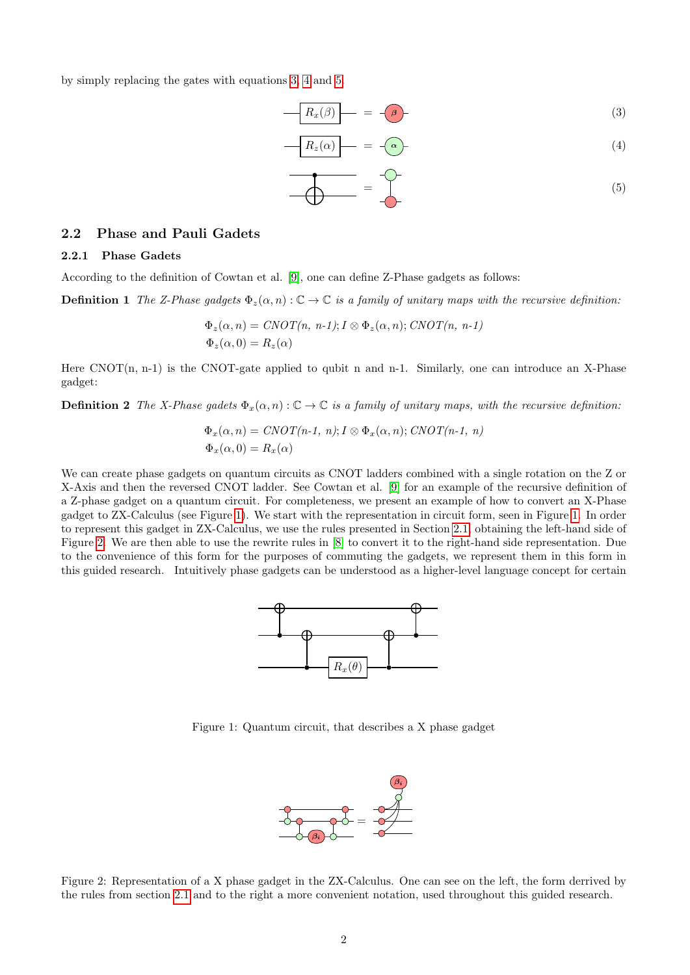by simply replacing the gates with equations [3,](#page-1-0) [4](#page-1-1) and [5.](#page-1-2)

$$
R_x(\beta) = -\beta \tag{3}
$$

$$
R_z(\alpha) \qquad = \qquad -\alpha \qquad (4)
$$

<span id="page-1-6"></span><span id="page-1-2"></span><span id="page-1-1"></span><span id="page-1-0"></span>
$$
\begin{array}{c}\n\bullet \\
\bullet \\
\bullet\n\end{array} = \begin{array}{c}\n\bullet \\
\bullet \\
\bullet\n\end{array}
$$
\n(5)

## 2.2 Phase and Pauli Gadets

#### 2.2.1 Phase Gadets

According to the definition of Cowtan et al. [\[9\]](#page-11-8), one can define Z-Phase gadgets as follows:

**Definition 1** The Z-Phase gadgets  $\Phi_z(\alpha, n): \mathbb{C} \to \mathbb{C}$  is a family of unitary maps with the recursive definition:

$$
\Phi_z(\alpha, n) = CNOT(n, n-1); I \otimes \Phi_z(\alpha, n); CNOT(n, n-1)
$$
  

$$
\Phi_z(\alpha, 0) = R_z(\alpha)
$$

<span id="page-1-5"></span>Here  $CNOT(n, n-1)$  is the CNOT-gate applied to qubit n and n-1. Similarly, one can introduce an X-Phase gadget:

**Definition 2** The X-Phase gadets  $\Phi_x(\alpha, n): \mathbb{C} \to \mathbb{C}$  is a family of unitary maps, with the recursive definition:

$$
\Phi_x(\alpha, n) = CNOT(n-1, n); I \otimes \Phi_x(\alpha, n); CNOT(n-1, n)
$$
  

$$
\Phi_x(\alpha, 0) = R_x(\alpha)
$$

<span id="page-1-3"></span>We can create phase gadgets on quantum circuits as CNOT ladders combined with a single rotation on the Z or X-Axis and then the reversed CNOT ladder. See Cowtan et al. [\[9\]](#page-11-8) for an example of the recursive definition of a Z-phase gadget on a quantum circuit. For completeness, we present an example of how to convert an X-Phase gadget to ZX-Calculus (see Figure [1\)](#page-1-3). We start with the representation in circuit form, seen in Figure [1.](#page-1-3) In order to represent this gadget in ZX-Calculus, we use the rules presented in Section [2.1,](#page-0-2) obtaining the left-hand side of Figure [2.](#page-1-4) We are then able to use the rewrite rules in [\[8\]](#page-11-7) to convert it to the right-hand side representation. Due to the convenience of this form for the purposes of commuting the gadgets, we represent them in this form in this guided research. Intuitively phase gadgets can be understood as a higher-level language concept for certain



Figure 1: Quantum circuit, that describes a X phase gadget



<span id="page-1-4"></span>Figure 2: Representation of a X phase gadget in the ZX-Calculus. One can see on the left, the form derrived by the rules from section [2.1](#page-0-2) and to the right a more convenient notation, used throughout this guided research.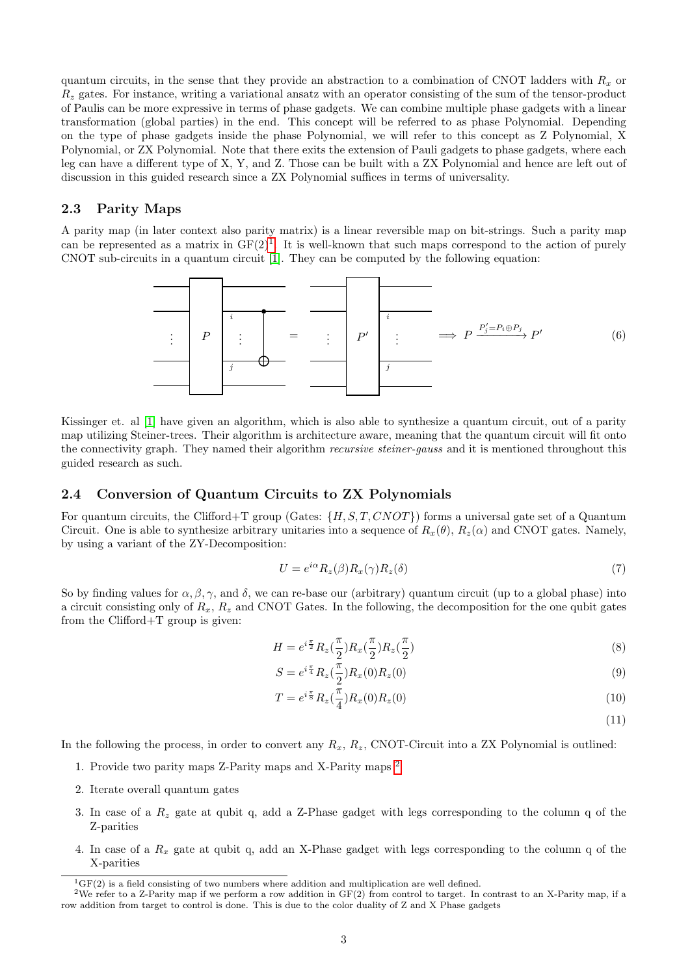quantum circuits, in the sense that they provide an abstraction to a combination of CNOT ladders with  $R_x$  or  $R<sub>z</sub>$  gates. For instance, writing a variational ansatz with an operator consisting of the sum of the tensor-product of Paulis can be more expressive in terms of phase gadgets. We can combine multiple phase gadgets with a linear transformation (global parties) in the end. This concept will be referred to as phase Polynomial. Depending on the type of phase gadgets inside the phase Polynomial, we will refer to this concept as Z Polynomial, X Polynomial, or ZX Polynomial. Note that there exits the extension of Pauli gadgets to phase gadgets, where each leg can have a different type of X, Y, and Z. Those can be built with a ZX Polynomial and hence are left out of discussion in this guided research since a ZX Polynomial suffices in terms of universality.

## 2.3 Parity Maps

A parity map (in later context also parity matrix) is a linear reversible map on bit-strings. Such a parity map can be represented as a matrix in  $GF(2)^{1}$  $GF(2)^{1}$  $GF(2)^{1}$ . It is well-known that such maps correspond to the action of purely CNOT sub-circuits in a quantum circuit [\[1\]](#page-11-0). They can be computed by the following equation:



Kissinger et. al [\[1\]](#page-11-0) have given an algorithm, which is also able to synthesize a quantum circuit, out of a parity map utilizing Steiner-trees. Their algorithm is architecture aware, meaning that the quantum circuit will fit onto the connectivity graph. They named their algorithm recursive steiner-gauss and it is mentioned throughout this guided research as such.

## <span id="page-2-2"></span>2.4 Conversion of Quantum Circuits to ZX Polynomials

For quantum circuits, the Clifford+T group (Gates:  $\{H, S, T, CNOT\}$ ) forms a universal gate set of a Quantum Circuit. One is able to synthesize arbitrary unitaries into a sequence of  $R_x(\theta)$ ,  $R_z(\alpha)$  and CNOT gates. Namely, by using a variant of the ZY-Decomposition:

$$
U = e^{i\alpha} R_z(\beta) R_x(\gamma) R_z(\delta) \tag{7}
$$

So by finding values for  $\alpha, \beta, \gamma$ , and  $\delta$ , we can re-base our (arbitrary) quantum circuit (up to a global phase) into a circuit consisting only of  $R_x$ ,  $R_z$  and CNOT Gates. In the following, the decomposition for the one qubit gates from the Clifford+T group is given:

$$
H = e^{i\frac{\pi}{2}} R_z(\frac{\pi}{2}) R_x(\frac{\pi}{2}) R_z(\frac{\pi}{2})
$$
\n(8)

$$
S = e^{i\frac{\pi}{4}} R_z(\frac{\pi}{2}) R_x(0) R_z(0)
$$
\n(9)

$$
T = e^{i\frac{\pi}{8}} R_z(\frac{\pi}{4}) R_x(0) R_z(0)
$$
\n(10)

(11)

In the following the process, in order to convert any  $R_x$ ,  $R_z$ , CNOT-Circuit into a ZX Polynomial is outlined:

- 1. Provide two parity maps Z-Parity maps and X-Parity maps [2](#page-2-1)
- 2. Iterate overall quantum gates
- 3. In case of a  $R_z$  gate at qubit q, add a Z-Phase gadget with legs corresponding to the column q of the Z-parities
- 4. In case of a  $R_x$  gate at qubit q, add an X-Phase gadget with legs corresponding to the column q of the X-parities

<span id="page-2-1"></span><span id="page-2-0"></span> ${}^{1}GF(2)$  is a field consisting of two numbers where addition and multiplication are well defined.

<sup>&</sup>lt;sup>2</sup>We refer to a Z-Parity map if we perform a row addition in  $GF(2)$  from control to target. In contrast to an X-Parity map, if a row addition from target to control is done. This is due to the color duality of Z and X Phase gadgets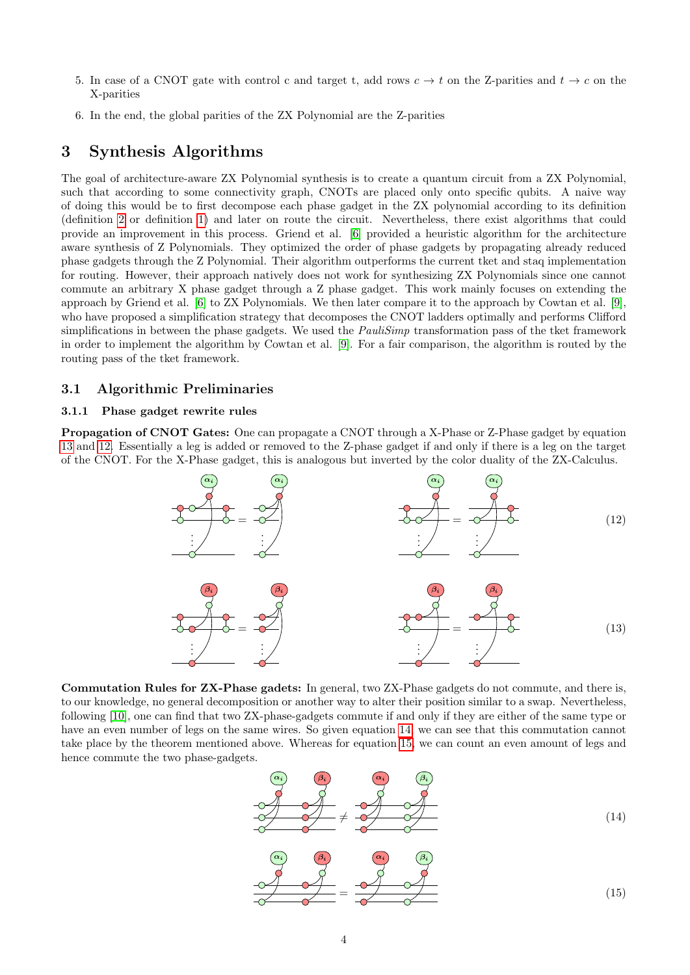- 5. In case of a CNOT gate with control c and target t, add rows  $c \to t$  on the Z-parities and  $t \to c$  on the X-parities
- 6. In the end, the global parities of the ZX Polynomial are the Z-parities

# 3 Synthesis Algorithms

The goal of architecture-aware ZX Polynomial synthesis is to create a quantum circuit from a ZX Polynomial, such that according to some connectivity graph, CNOTs are placed only onto specific qubits. A naive way of doing this would be to first decompose each phase gadget in the ZX polynomial according to its definition (definition [2](#page-1-5) or definition [1\)](#page-1-6) and later on route the circuit. Nevertheless, there exist algorithms that could provide an improvement in this process. Griend et al. [\[6\]](#page-11-5) provided a heuristic algorithm for the architecture aware synthesis of Z Polynomials. They optimized the order of phase gadgets by propagating already reduced phase gadgets through the Z Polynomial. Their algorithm outperforms the current tket and staq implementation for routing. However, their approach natively does not work for synthesizing ZX Polynomials since one cannot commute an arbitrary X phase gadget through a Z phase gadget. This work mainly focuses on extending the approach by Griend et al. [\[6\]](#page-11-5) to ZX Polynomials. We then later compare it to the approach by Cowtan et al. [\[9\]](#page-11-8), who have proposed a simplification strategy that decomposes the CNOT ladders optimally and performs Clifford simplifications in between the phase gadgets. We used the *PauliSimp* transformation pass of the tket framework in order to implement the algorithm by Cowtan et al. [\[9\]](#page-11-8). For a fair comparison, the algorithm is routed by the routing pass of the tket framework.

## 3.1 Algorithmic Preliminaries

### <span id="page-3-4"></span>3.1.1 Phase gadget rewrite rules

Propagation of CNOT Gates: One can propagate a CNOT through a X-Phase or Z-Phase gadget by equation [13](#page-3-0) and [12.](#page-3-1) Essentially a leg is added or removed to the Z-phase gadget if and only if there is a leg on the target of the CNOT. For the X-Phase gadget, this is analogous but inverted by the color duality of the ZX-Calculus.



Commutation Rules for ZX-Phase gadets: In general, two ZX-Phase gadgets do not commute, and there is, to our knowledge, no general decomposition or another way to alter their position similar to a swap. Nevertheless, following [\[10\]](#page-11-9), one can find that two ZX-phase-gadgets commute if and only if they are either of the same type or have an even number of legs on the same wires. So given equation [14,](#page-3-2) we can see that this commutation cannot take place by the theorem mentioned above. Whereas for equation [15,](#page-3-3) we can count an even amount of legs and hence commute the two phase-gadgets.

<span id="page-3-3"></span><span id="page-3-2"></span><span id="page-3-1"></span><span id="page-3-0"></span>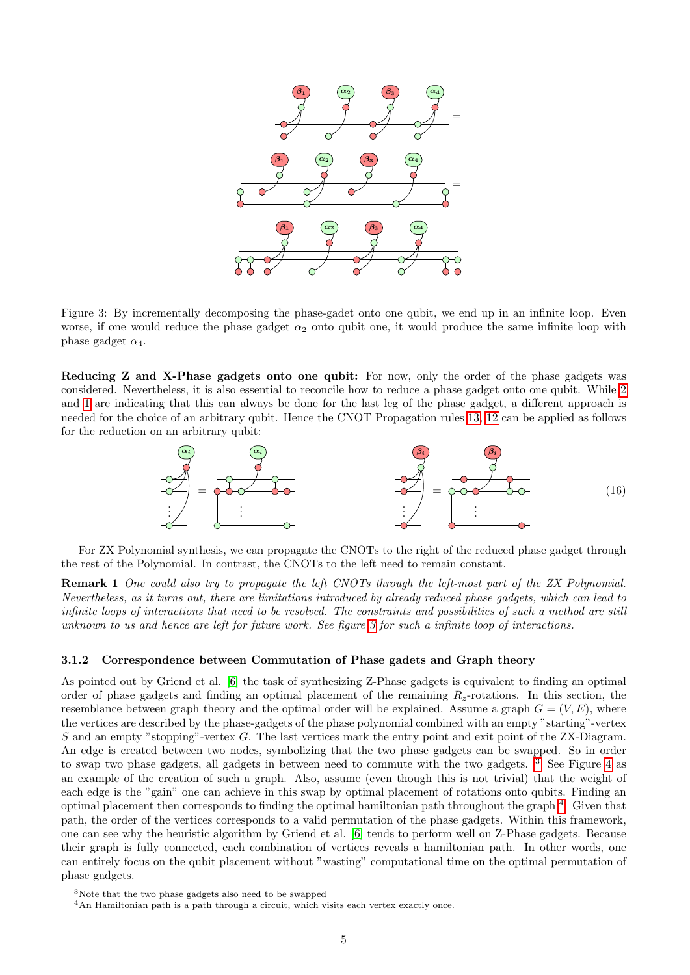<span id="page-4-0"></span>

Figure 3: By incrementally decomposing the phase-gadet onto one qubit, we end up in an infinite loop. Even worse, if one would reduce the phase gadget  $\alpha_2$  onto qubit one, it would produce the same infinite loop with phase gadget  $\alpha_4$ .

Reducing Z and X-Phase gadgets onto one qubit: For now, only the order of the phase gadgets was considered. Nevertheless, it is also essential to reconcile how to reduce a phase gadget onto one qubit. While [2](#page-1-5) and [1](#page-1-6) are indicating that this can always be done for the last leg of the phase gadget, a different approach is needed for the choice of an arbitrary qubit. Hence the CNOT Propagation rules [13,](#page-3-0) [12](#page-3-1) can be applied as follows for the reduction on an arbitrary qubit:

<span id="page-4-3"></span>

For ZX Polynomial synthesis, we can propagate the CNOTs to the right of the reduced phase gadget through the rest of the Polynomial. In contrast, the CNOTs to the left need to remain constant.

Remark 1 One could also try to propagate the left CNOTs through the left-most part of the ZX Polynomial. Nevertheless, as it turns out, there are limitations introduced by already reduced phase gadgets, which can lead to infinite loops of interactions that need to be resolved. The constraints and possibilities of such a method are still unknown to us and hence are left for future work. See figure [3](#page-4-0) for such a infinite loop of interactions.

#### <span id="page-4-4"></span>3.1.2 Correspondence between Commutation of Phase gadets and Graph theory

As pointed out by Griend et al. [\[6\]](#page-11-5) the task of synthesizing Z-Phase gadgets is equivalent to finding an optimal order of phase gadgets and finding an optimal placement of the remaining  $R_z$ -rotations. In this section, the resemblance between graph theory and the optimal order will be explained. Assume a graph  $G = (V, E)$ , where the vertices are described by the phase-gadgets of the phase polynomial combined with an empty "starting"-vertex S and an empty "stopping"-vertex G. The last vertices mark the entry point and exit point of the ZX-Diagram. An edge is created between two nodes, symbolizing that the two phase gadgets can be swapped. So in order to swap two phase gadgets, all gadgets in between need to commute with the two gadgets. [3](#page-4-1) See Figure [4](#page-5-0) as an example of the creation of such a graph. Also, assume (even though this is not trivial) that the weight of each edge is the "gain" one can achieve in this swap by optimal placement of rotations onto qubits. Finding an optimal placement then corresponds to finding the optimal hamiltonian path throughout the graph  $4$ . Given that path, the order of the vertices corresponds to a valid permutation of the phase gadgets. Within this framework, one can see why the heuristic algorithm by Griend et al. [\[6\]](#page-11-5) tends to perform well on Z-Phase gadgets. Because their graph is fully connected, each combination of vertices reveals a hamiltonian path. In other words, one can entirely focus on the qubit placement without "wasting" computational time on the optimal permutation of phase gadgets.

<span id="page-4-1"></span><sup>3</sup>Note that the two phase gadgets also need to be swapped

<span id="page-4-2"></span><sup>4</sup>An Hamiltonian path is a path through a circuit, which visits each vertex exactly once.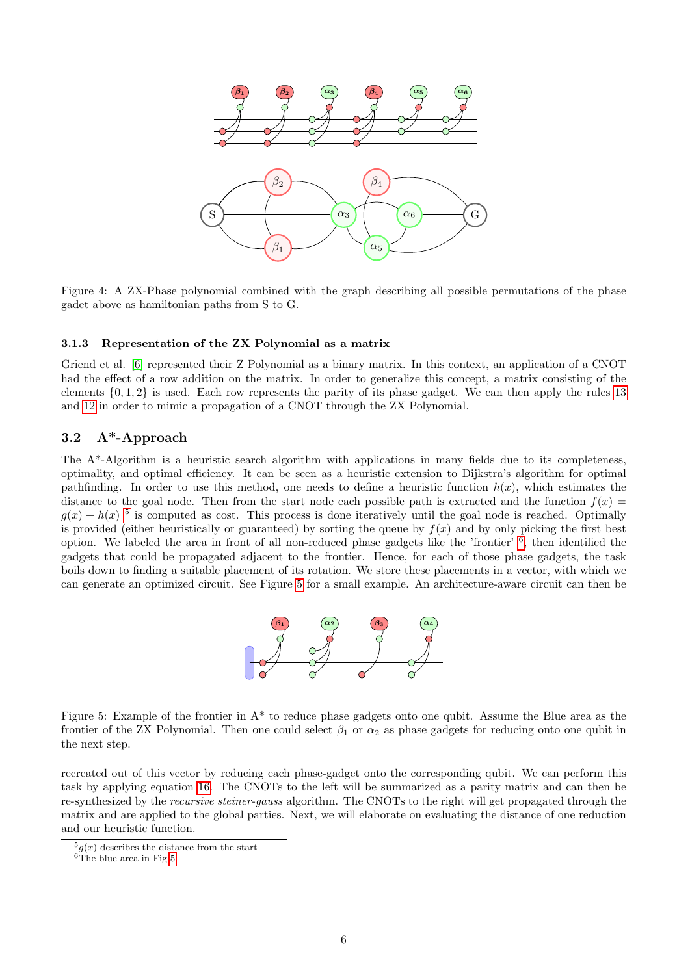<span id="page-5-0"></span>

Figure 4: A ZX-Phase polynomial combined with the graph describing all possible permutations of the phase gadet above as hamiltonian paths from S to G.

#### <span id="page-5-4"></span>3.1.3 Representation of the ZX Polynomial as a matrix

Griend et al. [\[6\]](#page-11-5) represented their Z Polynomial as a binary matrix. In this context, an application of a CNOT had the effect of a row addition on the matrix. In order to generalize this concept, a matrix consisting of the elements  $\{0, 1, 2\}$  is used. Each row represents the parity of its phase gadget. We can then apply the rules [13](#page-3-0) and [12](#page-3-1) in order to mimic a propagation of a CNOT through the ZX Polynomial.

## 3.2 A\*-Approach

The A\*-Algorithm is a heuristic search algorithm with applications in many fields due to its completeness, optimality, and optimal efficiency. It can be seen as a heuristic extension to Dijkstra's algorithm for optimal pathfinding. In order to use this method, one needs to define a heuristic function  $h(x)$ , which estimates the distance to the goal node. Then from the start node each possible path is extracted and the function  $f(x)$  $g(x) + h(x)$ <sup>[5](#page-5-1)</sup> is computed as cost. This process is done iteratively until the goal node is reached. Optimally is provided (either heuristically or guaranteed) by sorting the queue by  $f(x)$  and by only picking the first best option. We labeled the area in front of all non-reduced phase gadgets like the 'frontier' [6](#page-5-2) , then identified the gadgets that could be propagated adjacent to the frontier. Hence, for each of those phase gadgets, the task boils down to finding a suitable placement of its rotation. We store these placements in a vector, with which we can generate an optimized circuit. See Figure [5](#page-5-3) for a small example. An architecture-aware circuit can then be



<span id="page-5-3"></span>Figure 5: Example of the frontier in  $A^*$  to reduce phase gadgets onto one qubit. Assume the Blue area as the frontier of the ZX Polynomial. Then one could select  $\beta_1$  or  $\alpha_2$  as phase gadgets for reducing onto one qubit in the next step.

recreated out of this vector by reducing each phase-gadget onto the corresponding qubit. We can perform this task by applying equation [16.](#page-4-3) The CNOTs to the left will be summarized as a parity matrix and can then be re-synthesized by the recursive steiner-gauss algorithm. The CNOTs to the right will get propagated through the matrix and are applied to the global parties. Next, we will elaborate on evaluating the distance of one reduction and our heuristic function.

<span id="page-5-1"></span> $5q(x)$  describes the distance from the start

<span id="page-5-2"></span> $6T$ he blue area in Fig [5](#page-5-3)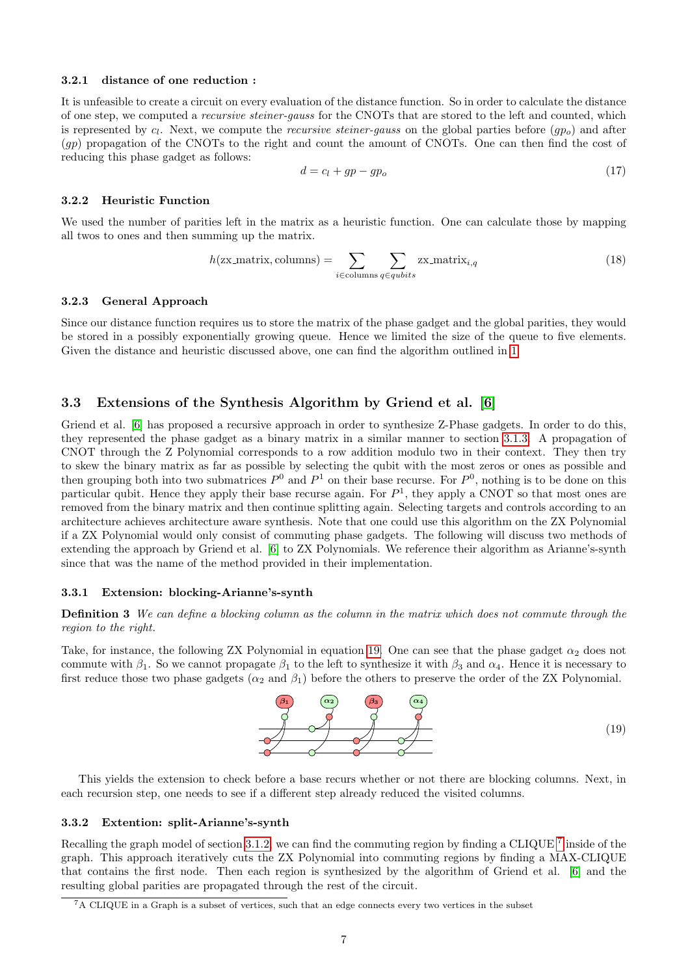#### 3.2.1 distance of one reduction :

It is unfeasible to create a circuit on every evaluation of the distance function. So in order to calculate the distance of one step, we computed a recursive steiner-gauss for the CNOTs that are stored to the left and counted, which is represented by  $c_l$ . Next, we compute the *recursive steiner-gauss* on the global parties before  $(pp_o)$  and after (gp) propagation of the CNOTs to the right and count the amount of CNOTs. One can then find the cost of reducing this phase gadget as follows:

$$
d = c_l + gp - gp_o \tag{17}
$$

#### 3.2.2 Heuristic Function

We used the number of parities left in the matrix as a heuristic function. One can calculate those by mapping all twos to ones and then summing up the matrix.

$$
h(\text{zx_matrix}, \text{columns}) = \sum_{i \in \text{columns}} \sum_{q \in qubits} \text{zx_matrix}_{i,q} \tag{18}
$$

#### 3.2.3 General Approach

Since our distance function requires us to store the matrix of the phase gadget and the global parities, they would be stored in a possibly exponentially growing queue. Hence we limited the size of the queue to five elements. Given the distance and heuristic discussed above, one can find the algorithm outlined in [1](#page-7-0)

## 3.3 Extensions of the Synthesis Algorithm by Griend et al. [\[6\]](#page-11-5)

Griend et al. [\[6\]](#page-11-5) has proposed a recursive approach in order to synthesize Z-Phase gadgets. In order to do this, they represented the phase gadget as a binary matrix in a similar manner to section [3.1.3.](#page-5-4) A propagation of CNOT through the Z Polynomial corresponds to a row addition modulo two in their context. They then try to skew the binary matrix as far as possible by selecting the qubit with the most zeros or ones as possible and then grouping both into two submatrices  $P^0$  and  $P^1$  on their base recurse. For  $P^0$ , nothing is to be done on this particular qubit. Hence they apply their base recurse again. For  $P<sup>1</sup>$ , they apply a CNOT so that most ones are removed from the binary matrix and then continue splitting again. Selecting targets and controls according to an architecture achieves architecture aware synthesis. Note that one could use this algorithm on the ZX Polynomial if a ZX Polynomial would only consist of commuting phase gadgets. The following will discuss two methods of extending the approach by Griend et al. [\[6\]](#page-11-5) to ZX Polynomials. We reference their algorithm as Arianne's-synth since that was the name of the method provided in their implementation.

#### 3.3.1 Extension: blocking-Arianne's-synth

Definition 3 We can define a blocking column as the column in the matrix which does not commute through the region to the right.

Take, for instance, the following ZX Polynomial in equation [19.](#page-6-0) One can see that the phase gadget  $\alpha_2$  does not commute with  $\beta_1$ . So we cannot propagate  $\beta_1$  to the left to synthesize it with  $\beta_3$  and  $\alpha_4$ . Hence it is necessary to first reduce those two phase gadgets  $(\alpha_2 \text{ and } \beta_1)$  before the others to preserve the order of the ZX Polynomial.

 $(\beta_1) \qquad (\alpha_2) \qquad (\beta_3) \qquad (\alpha_4)$ 

This yields the extension to check before a base recurs whether or not there are blocking columns. Next, in each recursion step, one needs to see if a different step already reduced the visited columns.

#### 3.3.2 Extention: split-Arianne's-synth

Recalling the graph model of section [3.1.2,](#page-4-4) we can find the commuting region by finding a CLIQUE<sup>[7](#page-6-1)</sup> inside of the graph. This approach iteratively cuts the ZX Polynomial into commuting regions by finding a MAX-CLIQUE that contains the first node. Then each region is synthesized by the algorithm of Griend et al. [\[6\]](#page-11-5) and the resulting global parities are propagated through the rest of the circuit.

<span id="page-6-0"></span>

<span id="page-6-1"></span><sup>7</sup>A CLIQUE in a Graph is a subset of vertices, such that an edge connects every two vertices in the subset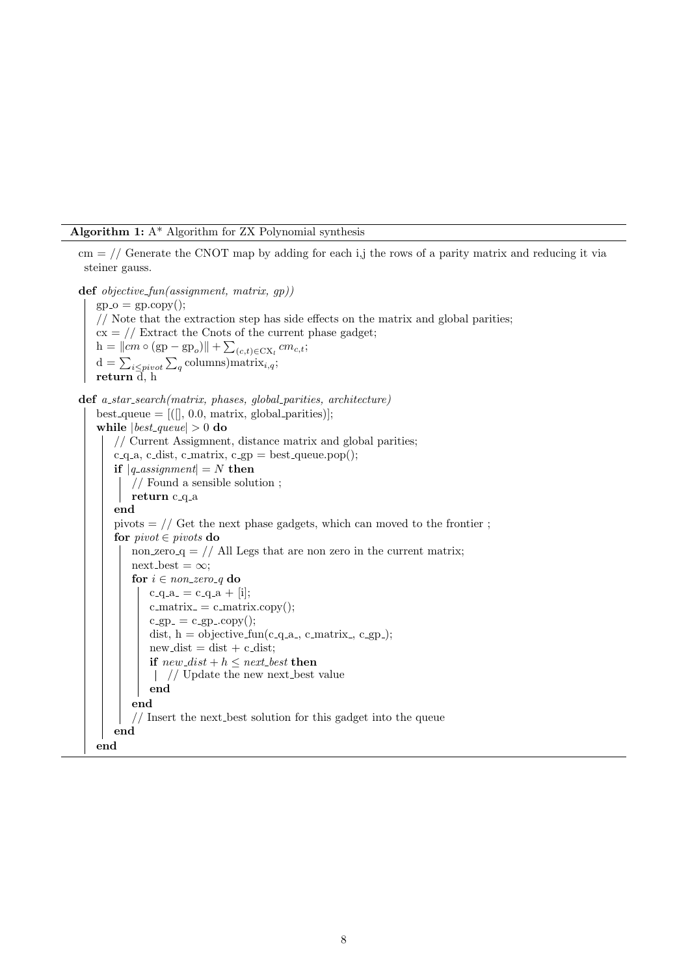#### Algorithm 1: A\* Algorithm for ZX Polynomial synthesis

 $\text{cm} = \frac{1}{2}$  Generate the CNOT map by adding for each i,j the rows of a parity matrix and reducing it via steiner gauss.

<span id="page-7-0"></span>def *objective\_fun(assignment, matrix, gp))*  $gp_{\mathcal{O}} = gp_{\mathcal{O}}(x)$ ; // Note that the extraction step has side effects on the matrix and global parities;  $cx = //$  Extract the Cnots of the current phase gadget;  $h = ||cm \circ (gp - gp_o)|| + \sum_{(c,t) \in CX_l} cm_{c,t};$  $d = \sum_{i \leq pivot} \sum_{q}$ columns)matrix<sub>i,q</sub>; return  $\overline{d}$ , h def a\_star\_search(matrix, phases, global\_parities, architecture) best\_queue =  $[(\cdot, 0.0, \text{matrix}, \text{global-parities})]$ ; while  $|best\_\text{queue}| > 0$  do // Current Assigmnent, distance matrix and global parities;  $c$ -q-a,  $c$ -dist,  $c$ -matrix,  $c$ -gp = best-queue.pop(); if  $|q\$ assignment = N then // Found a sensible solution ; return c<sub>-q-a</sub> end pivots  $=$  // Get the next phase gadgets, which can moved to the frontier; for  $pivot \in pivots$  do non zero  $q = //$  All Legs that are non zero in the current matrix;  $next\_best = \infty$ ; for  $i \in non\_zero\_q$  do  $c_{-}q_{-}a_{-}=c_{-}q_{-}a_{+}$  [i];  $c$ \_matrix\_ $= c$ \_matrix.copy();  $c$ -gp =  $c$ -gp  $\ldots$ copy(); dist,  $h =$  objective fun(c\_q\_a\_, c\_matrix\_, c\_gp\_);  $new\_dist = dist + c\_dist;$ if  $new\_dist + h \leq next\_best$  then // Update the new next best value end end  $\frac{1}{\sqrt{2}}$  Insert the next best solution for this gadget into the queue end end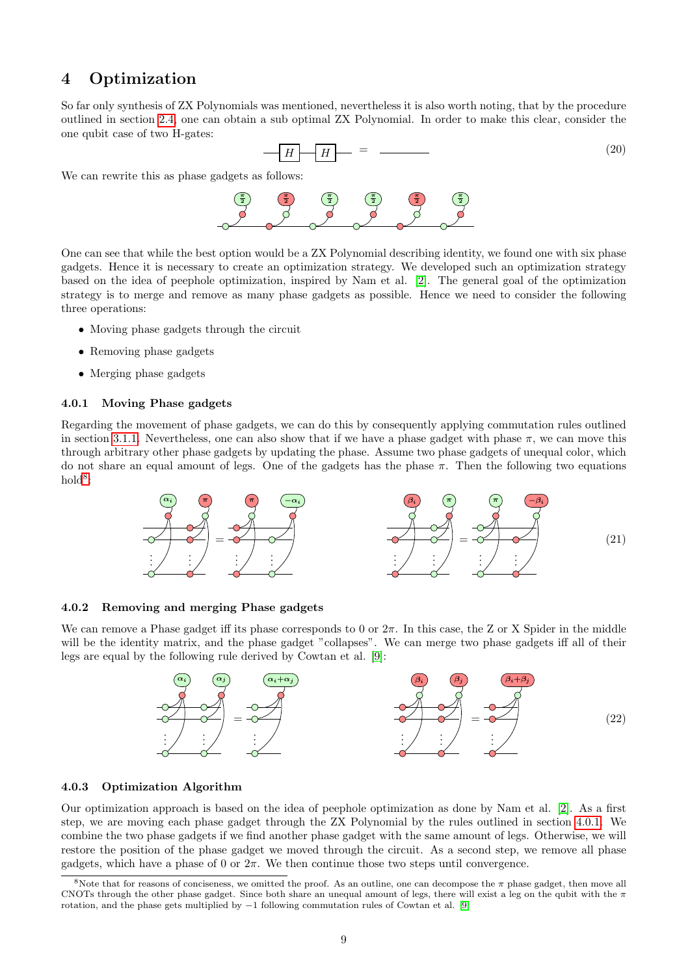# <span id="page-8-2"></span>4 Optimization

So far only synthesis of ZX Polynomials was mentioned, nevertheless it is also worth noting, that by the procedure outlined in section [2.4,](#page-2-2) one can obtain a sub optimal ZX Polynomial. In order to make this clear, consider the one qubit case of two H-gates:

$$
H - H - = \t(20)
$$

We can rewrite this as phase gadgets as follows:



One can see that while the best option would be a ZX Polynomial describing identity, we found one with six phase gadgets. Hence it is necessary to create an optimization strategy. We developed such an optimization strategy based on the idea of peephole optimization, inspired by Nam et al. [\[2\]](#page-11-1). The general goal of the optimization strategy is to merge and remove as many phase gadgets as possible. Hence we need to consider the following three operations:

- Moving phase gadgets through the circuit
- Removing phase gadgets
- Merging phase gadgets

## <span id="page-8-1"></span>4.0.1 Moving Phase gadgets

Regarding the movement of phase gadgets, we can do this by consequently applying commutation rules outlined in section [3.1.1.](#page-3-4) Nevertheless, one can also show that if we have a phase gadget with phase  $\pi$ , we can move this through arbitrary other phase gadgets by updating the phase. Assume two phase gadgets of unequal color, which do not share an equal amount of legs. One of the gadgets has the phase  $\pi$ . Then the following two equations  $hold<sup>8</sup>$  $hold<sup>8</sup>$  $hold<sup>8</sup>$ :



#### 4.0.2 Removing and merging Phase gadgets

We can remove a Phase gadget iff its phase corresponds to 0 or  $2\pi$ . In this case, the Z or X Spider in the middle will be the identity matrix, and the phase gadget "collapses". We can merge two phase gadgets iff all of their legs are equal by the following rule derived by Cowtan et al. [\[9\]](#page-11-8):



#### 4.0.3 Optimization Algorithm

Our optimization approach is based on the idea of peephole optimization as done by Nam et al. [\[2\]](#page-11-1). As a first step, we are moving each phase gadget through the ZX Polynomial by the rules outlined in section [4.0.1.](#page-8-1) We combine the two phase gadgets if we find another phase gadget with the same amount of legs. Otherwise, we will restore the position of the phase gadget we moved through the circuit. As a second step, we remove all phase gadgets, which have a phase of 0 or  $2\pi$ . We then continue those two steps until convergence.

<span id="page-8-0"></span><sup>&</sup>lt;sup>8</sup>Note that for reasons of conciseness, we omitted the proof. As an outline, one can decompose the  $\pi$  phase gadget, then move all CNOTs through the other phase gadget. Since both share an unequal amount of legs, there will exist a leg on the qubit with the  $\pi$ rotation, and the phase gets multiplied by −1 following commutation rules of Cowtan et al. [\[9\]](#page-11-8)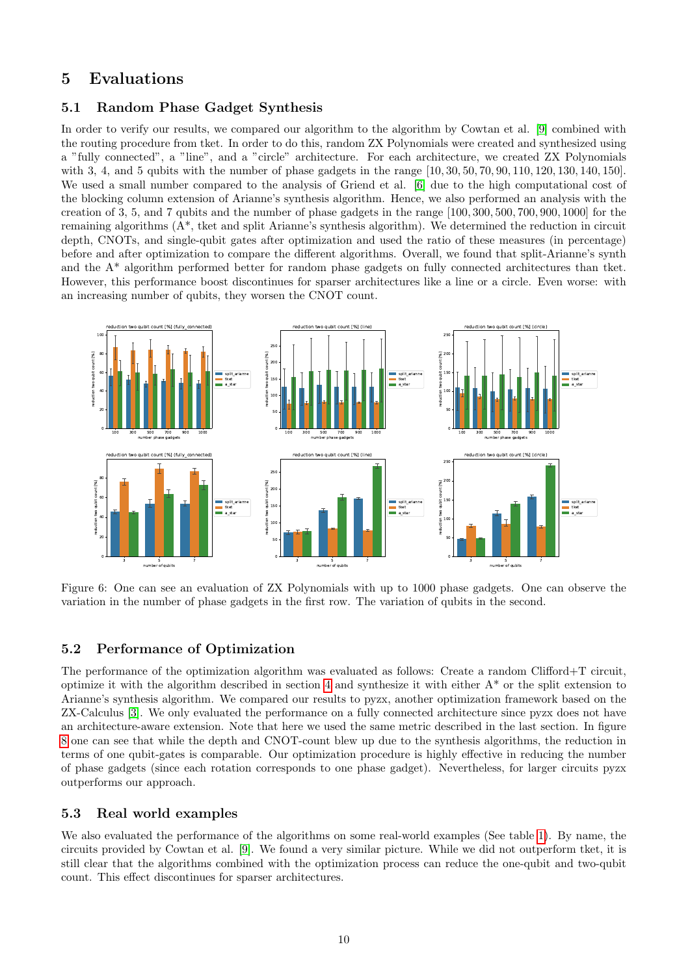## 5 Evaluations

## 5.1 Random Phase Gadget Synthesis

In order to verify our results, we compared our algorithm to the algorithm by Cowtan et al. [\[9\]](#page-11-8) combined with the routing procedure from tket. In order to do this, random ZX Polynomials were created and synthesized using a "fully connected", a "line", and a "circle" architecture. For each architecture, we created ZX Polynomials with 3, 4, and 5 qubits with the number of phase gadgets in the range [10, 30, 50, 70, 90, 110, 120, 130, 140, 150]. We used a small number compared to the analysis of Griend et al. [\[6\]](#page-11-5) due to the high computational cost of the blocking column extension of Arianne's synthesis algorithm. Hence, we also performed an analysis with the creation of 3, 5, and 7 qubits and the number of phase gadgets in the range [100, 300, 500, 700, 900, 1000] for the remaining algorithms (A\*, tket and split Arianne's synthesis algorithm). We determined the reduction in circuit depth, CNOTs, and single-qubit gates after optimization and used the ratio of these measures (in percentage) before and after optimization to compare the different algorithms. Overall, we found that split-Arianne's synth and the A\* algorithm performed better for random phase gadgets on fully connected architectures than tket. However, this performance boost discontinues for sparser architectures like a line or a circle. Even worse: with an increasing number of qubits, they worsen the CNOT count.



Figure 6: One can see an evaluation of ZX Polynomials with up to 1000 phase gadgets. One can observe the variation in the number of phase gadgets in the first row. The variation of qubits in the second.

## 5.2 Performance of Optimization

The performance of the optimization algorithm was evaluated as follows: Create a random Clifford+T circuit, optimize it with the algorithm described in section [4](#page-8-2) and synthesize it with either A\* or the split extension to Arianne's synthesis algorithm. We compared our results to pyzx, another optimization framework based on the ZX-Calculus [\[3\]](#page-11-2). We only evaluated the performance on a fully connected architecture since pyzx does not have an architecture-aware extension. Note that here we used the same metric described in the last section. In figure [8](#page-11-10) one can see that while the depth and CNOT-count blew up due to the synthesis algorithms, the reduction in terms of one qubit-gates is comparable. Our optimization procedure is highly effective in reducing the number of phase gadgets (since each rotation corresponds to one phase gadget). Nevertheless, for larger circuits pyzx outperforms our approach.

## 5.3 Real world examples

We also evaluated the performance of the algorithms on some real-world examples (See table [1\)](#page-10-0). By name, the circuits provided by Cowtan et al. [\[9\]](#page-11-8). We found a very similar picture. While we did not outperform tket, it is still clear that the algorithms combined with the optimization process can reduce the one-qubit and two-qubit count. This effect discontinues for sparser architectures.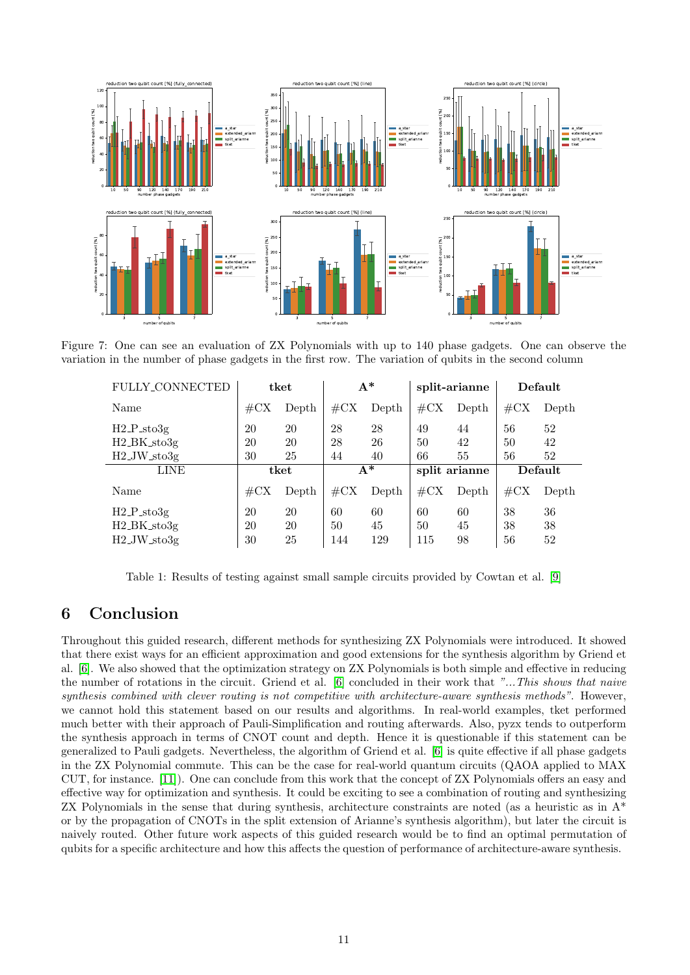

<span id="page-10-0"></span>Figure 7: One can see an evaluation of ZX Polynomials with up to 140 phase gadgets. One can observe the variation in the number of phase gadgets in the first row. The variation of qubits in the second column

| FULLY_CONNECTED                        | tket            |       | $A^*$           |       | split-arianne   |       | Default         |       |
|----------------------------------------|-----------------|-------|-----------------|-------|-----------------|-------|-----------------|-------|
| Name                                   | $\#\mathrm{CX}$ | Depth | $\#\mathrm{CX}$ | Depth | $\#\mathrm{CX}$ | Depth | $\#\mathrm{CX}$ | Depth |
| H2.P. sto3g                            | 20              | 20    | 28              | 28    | 49              | 44    | 56              | 52    |
| $H2_BK_s$ to3g                         | 20              | 20    | 28              | 26    | 50              | 42    | 50              | 42    |
| $H2$ <sub>-J</sub> W <sub>-sto3g</sub> | 30              | 25    | 44              | 40    | 66              | 55    | 56              | 52    |
| <b>LINE</b>                            | tket            |       | $A^*$           |       | split arianne   |       | Default         |       |
| Name                                   | $\#\mathrm{CX}$ | Depth | $\#\mathrm{CX}$ | Depth | $\#\mathrm{CX}$ | Depth | $\#\mathrm{CX}$ | Depth |
| $H2.P$ <sub>sto</sub> 3g               | 20              | 20    | 60              | 60    | 60              | 60    | 38              | 36    |
| H <sub>2</sub> _BK_sto3g               | 20              | 20    | 50              | 45    | 50              | 45    | 38              | 38    |
| $H2$ <sub>J</sub> W <sub>sto</sub> 3g  | 30              | 25    | 144             | 129   | 115             | 98    | 56              | 52    |

Table 1: Results of testing against small sample circuits provided by Cowtan et al. [\[9\]](#page-11-8)

# 6 Conclusion

Throughout this guided research, different methods for synthesizing ZX Polynomials were introduced. It showed that there exist ways for an efficient approximation and good extensions for the synthesis algorithm by Griend et al. [\[6\]](#page-11-5). We also showed that the optimization strategy on ZX Polynomials is both simple and effective in reducing the number of rotations in the circuit. Griend et al. [\[6\]](#page-11-5) concluded in their work that "...This shows that naive synthesis combined with clever routing is not competitive with architecture-aware synthesis methods". However, we cannot hold this statement based on our results and algorithms. In real-world examples, tket performed much better with their approach of Pauli-Simplification and routing afterwards. Also, pyzx tends to outperform the synthesis approach in terms of CNOT count and depth. Hence it is questionable if this statement can be generalized to Pauli gadgets. Nevertheless, the algorithm of Griend et al. [\[6\]](#page-11-5) is quite effective if all phase gadgets in the ZX Polynomial commute. This can be the case for real-world quantum circuits (QAOA applied to MAX CUT, for instance. [\[11\]](#page-11-11)). One can conclude from this work that the concept of ZX Polynomials offers an easy and effective way for optimization and synthesis. It could be exciting to see a combination of routing and synthesizing ZX Polynomials in the sense that during synthesis, architecture constraints are noted (as a heuristic as in A\* or by the propagation of CNOTs in the split extension of Arianne's synthesis algorithm), but later the circuit is naively routed. Other future work aspects of this guided research would be to find an optimal permutation of qubits for a specific architecture and how this affects the question of performance of architecture-aware synthesis.